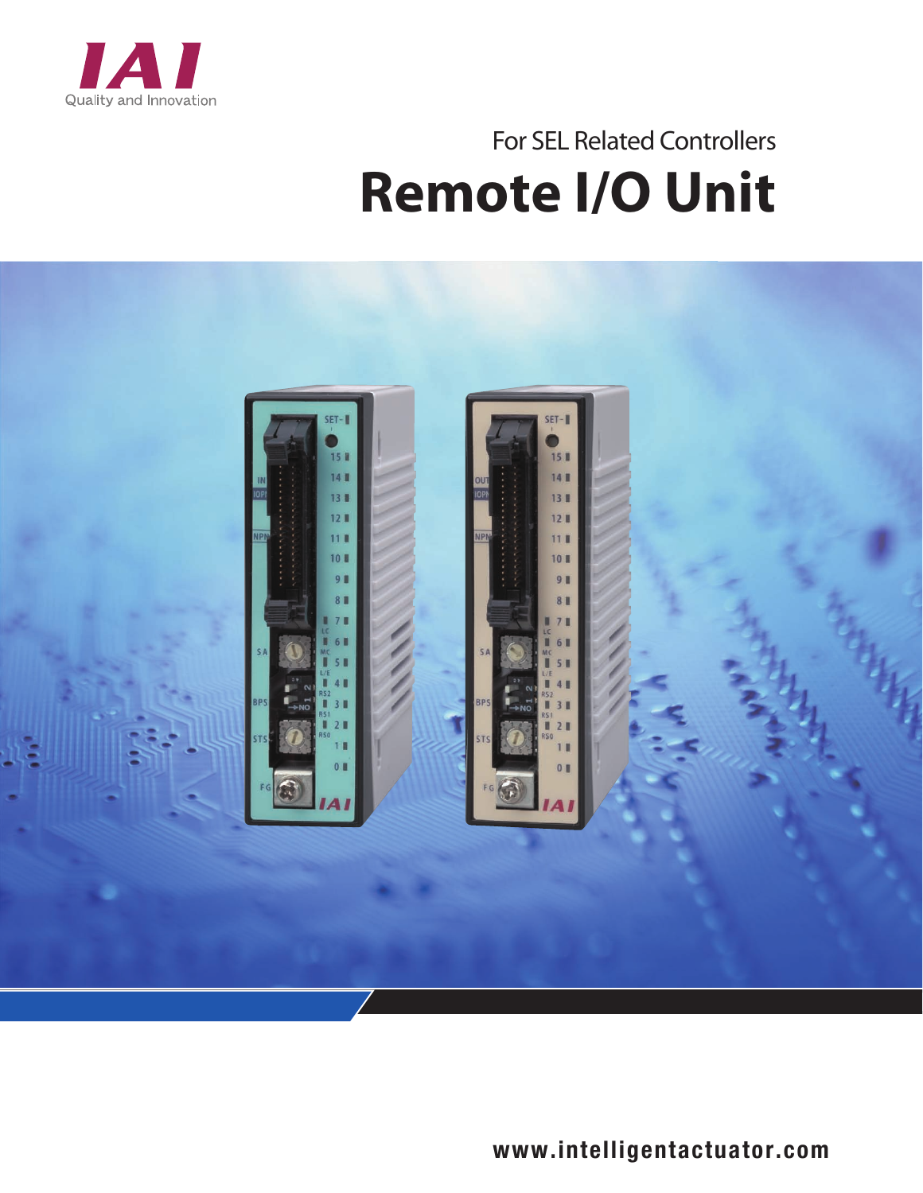

## **Remote I/O Unit** For SEL Related Controllers



www.intelligentactuator.com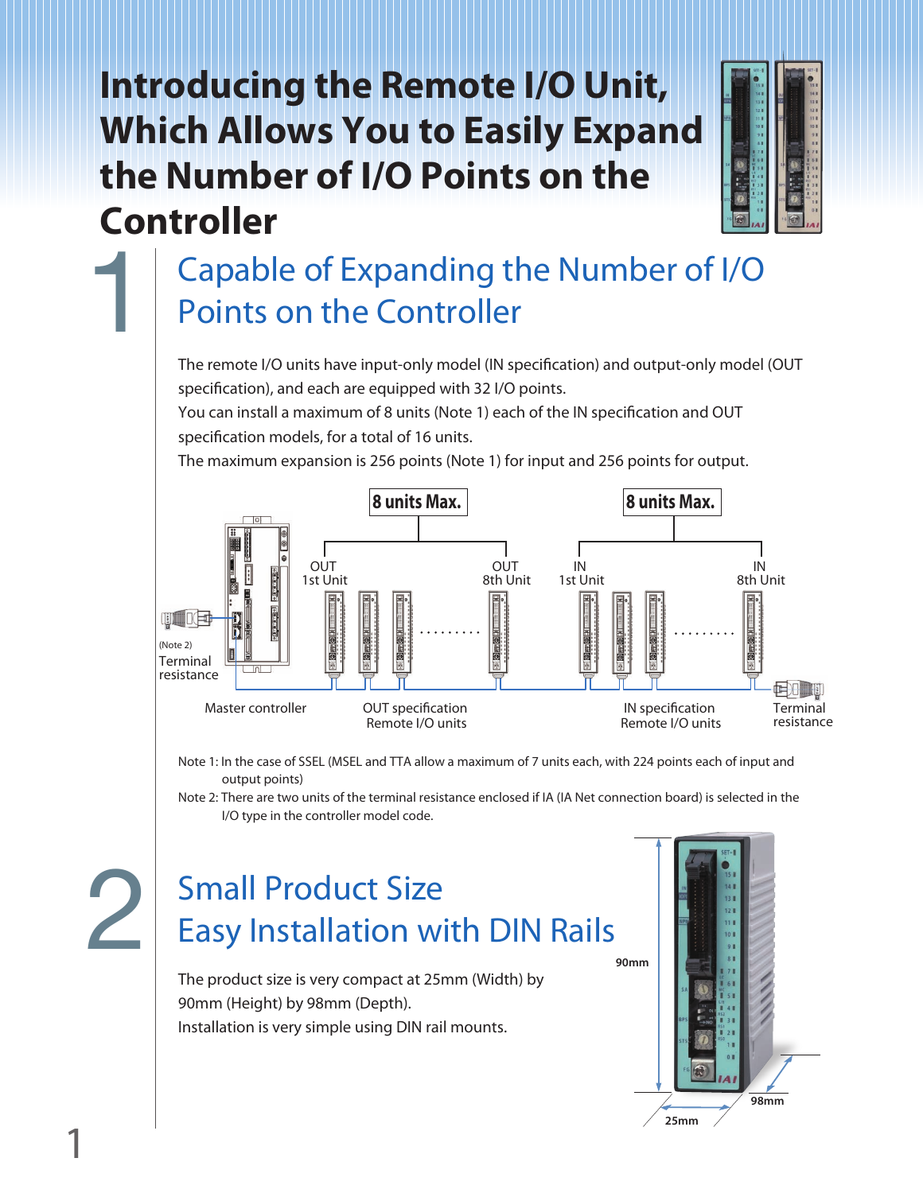## **Introducing the Remote I/O Unit, Which Allows You to Easily Expand the Number of I/O Points on the Controller**



## Capable of Expanding the Number of I/O Points on the Controller 1

The remote I/O units have input-only model (IN specification) and output-only model (OUT specification), and each are equipped with 32 I/O points.

You can install a maximum of 8 units (Note 1) each of the IN specification and OUT specification models, for a total of 16 units.

The maximum expansion is 256 points (Note 1) for input and 256 points for output.



Note 1: In the case of SSEL (MSEL and TTA allow a maximum of 7 units each, with 224 points each of input and output points)

Note 2: There are two units of the terminal resistance enclosed if IA (IA Net connection board) is selected in the I/O type in the controller model code.

# 2

## Small Product Size Easy Installation with DIN Rails

The product size is very compact at 25mm (Width) by 90mm (Height) by 98mm (Depth). Installation is very simple using DIN rail mounts.

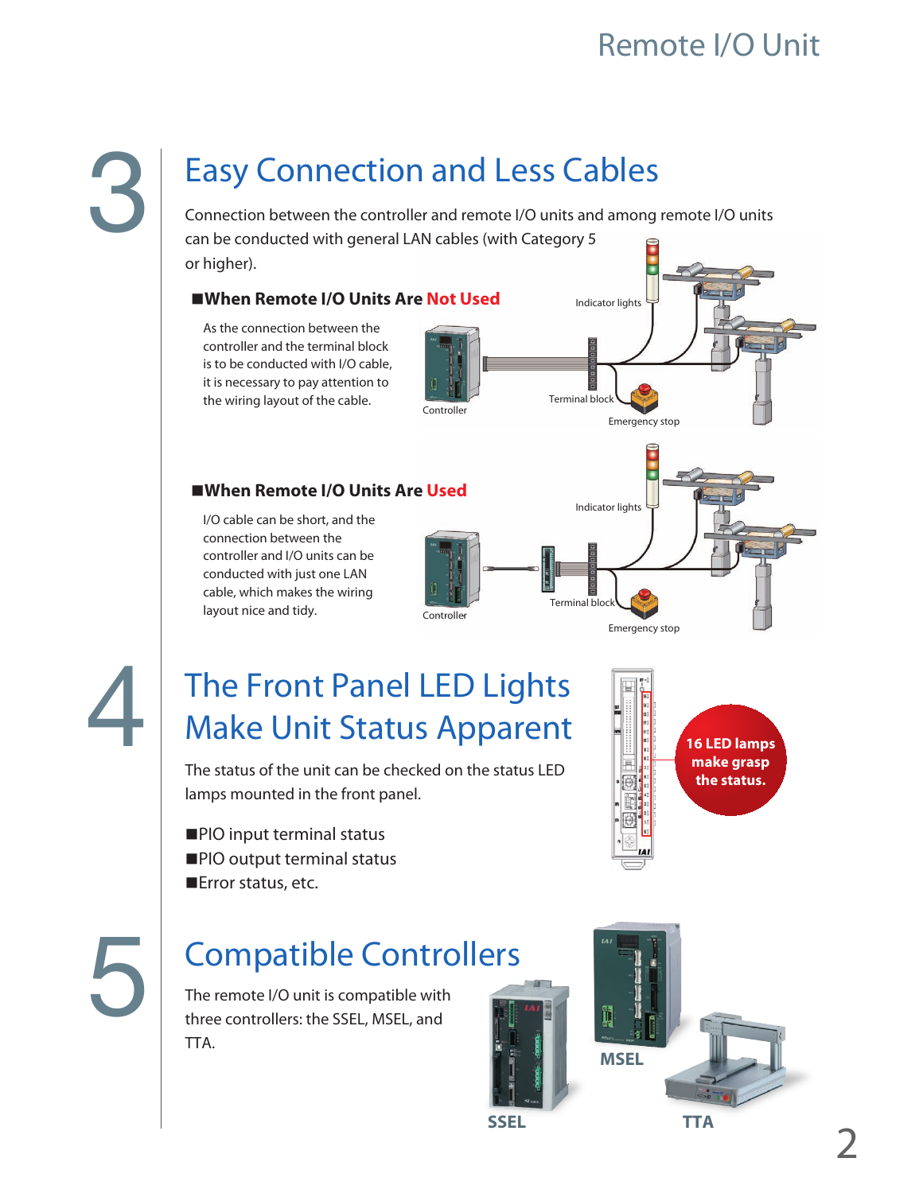## Easy Connection and Less Cables

Connection between the controller and remote I/O units and among remote I/O units can be conducted with general LAN cables (with Category 5 or higher).

#### **When Remote I/O Units Are Not Used**

As the connection between the controller and the terminal block is to be conducted with I/O cable, it is necessary to pay attention to the wiring layout of the cable.



#### **When Remote I/O Units Are Used**

I/O cable can be short, and the connection between the controller and I/O units can be conducted with just one LAN cable, which makes the wiring layout nice and tidy.





4

5

## The Front Panel LED Lights Make Unit Status Apparent

The status of the unit can be checked on the status LED lamps mounted in the front panel.

**PIO** input terminal status **PIO** output terminal status ■Error status, etc.

## Compatible Controllers

The remote I/O unit is compatible with three controllers: the SSEL, MSEL, and TTA.





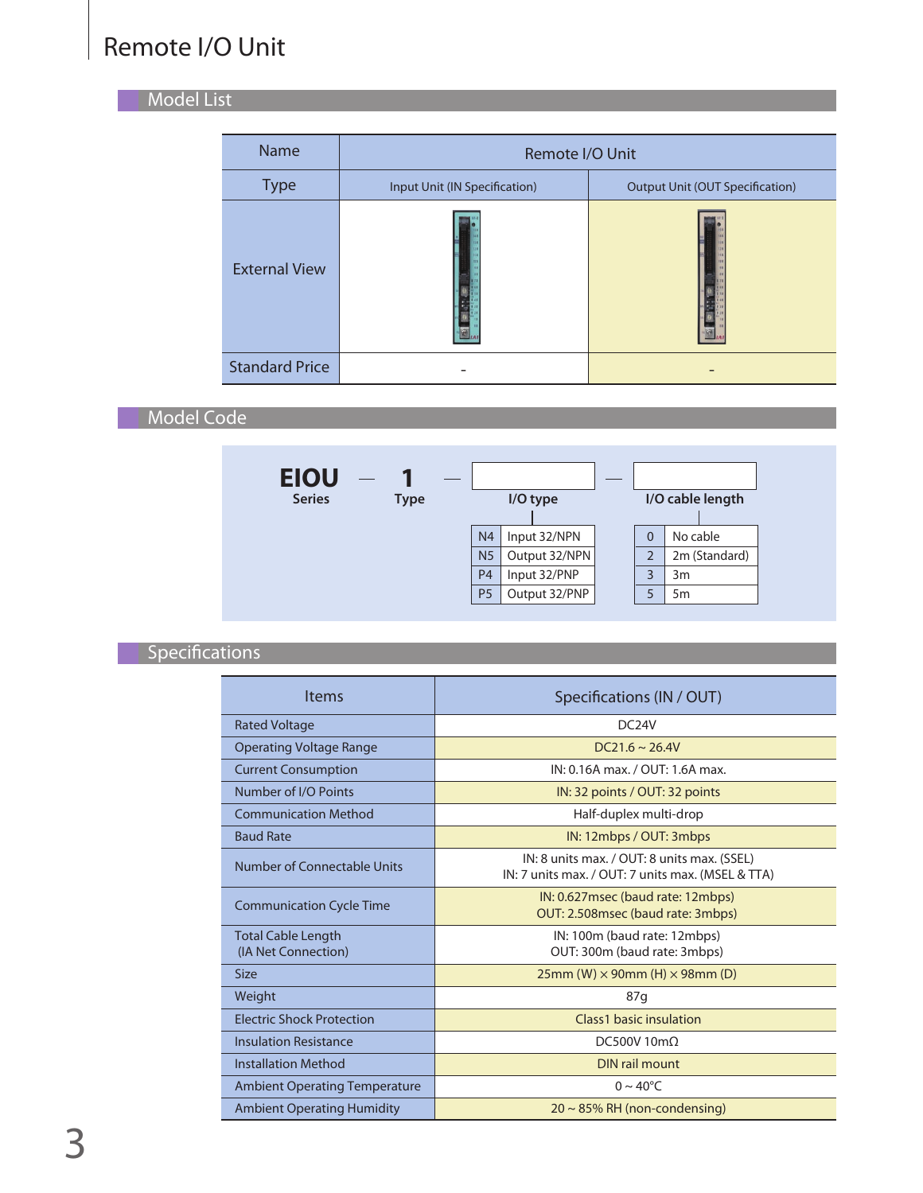#### Model List Part Names in the United States of the United States and Company in the United States of the United

| <b>Name</b>           | Remote I/O Unit               |                                        |
|-----------------------|-------------------------------|----------------------------------------|
| <b>Type</b>           | Input Unit (IN Specification) | <b>Output Unit (OUT Specification)</b> |
| <b>External View</b>  |                               |                                        |
| <b>Standard Price</b> |                               |                                        |

Model Code



### $S$ pecifications

| <b>Items</b>                         | Specifications (IN / OUT)                                                                        |
|--------------------------------------|--------------------------------------------------------------------------------------------------|
| <b>Rated Voltage</b>                 | DC <sub>24</sub> V                                                                               |
| Operating Voltage Range              | $DC21.6 \sim 26.4V$                                                                              |
| <b>Current Consumption</b>           | IN: 0.16A max. / OUT: 1.6A max.                                                                  |
| Number of I/O Points                 | IN: 32 points / OUT: 32 points                                                                   |
| <b>Communication Method</b>          | Half-duplex multi-drop                                                                           |
| <b>Baud Rate</b>                     | IN: 12mbps / OUT: 3mbps                                                                          |
| Number of Connectable Units          | IN: 8 units max. / OUT: 8 units max. (SSEL)<br>IN: 7 units max. / OUT: 7 units max. (MSEL & TTA) |
| <b>Communication Cycle Time</b>      | IN: 0.627 msec (baud rate: 12 mbps)<br>OUT: 2.508msec (baud rate: 3mbps)                         |
| <b>Total Cable Length</b>            | IN: 100m (baud rate: 12mbps)                                                                     |
| (IA Net Connection)                  | OUT: 300m (baud rate: 3mbps)                                                                     |
| <b>Size</b>                          | $25$ mm (W) $\times$ 90mm (H) $\times$ 98mm (D)                                                  |
| Weight                               | 87q                                                                                              |
| <b>Flectric Shock Protection</b>     | Class1 basic insulation                                                                          |
| <b>Insulation Resistance</b>         | DC500V10m $\Omega$                                                                               |
| <b>Installation Method</b>           | DIN rail mount                                                                                   |
| <b>Ambient Operating Temperature</b> | $0 \sim 40^{\circ}$ C                                                                            |
| <b>Ambient Operating Humidity</b>    | $20 \sim 85\%$ RH (non-condensing)                                                               |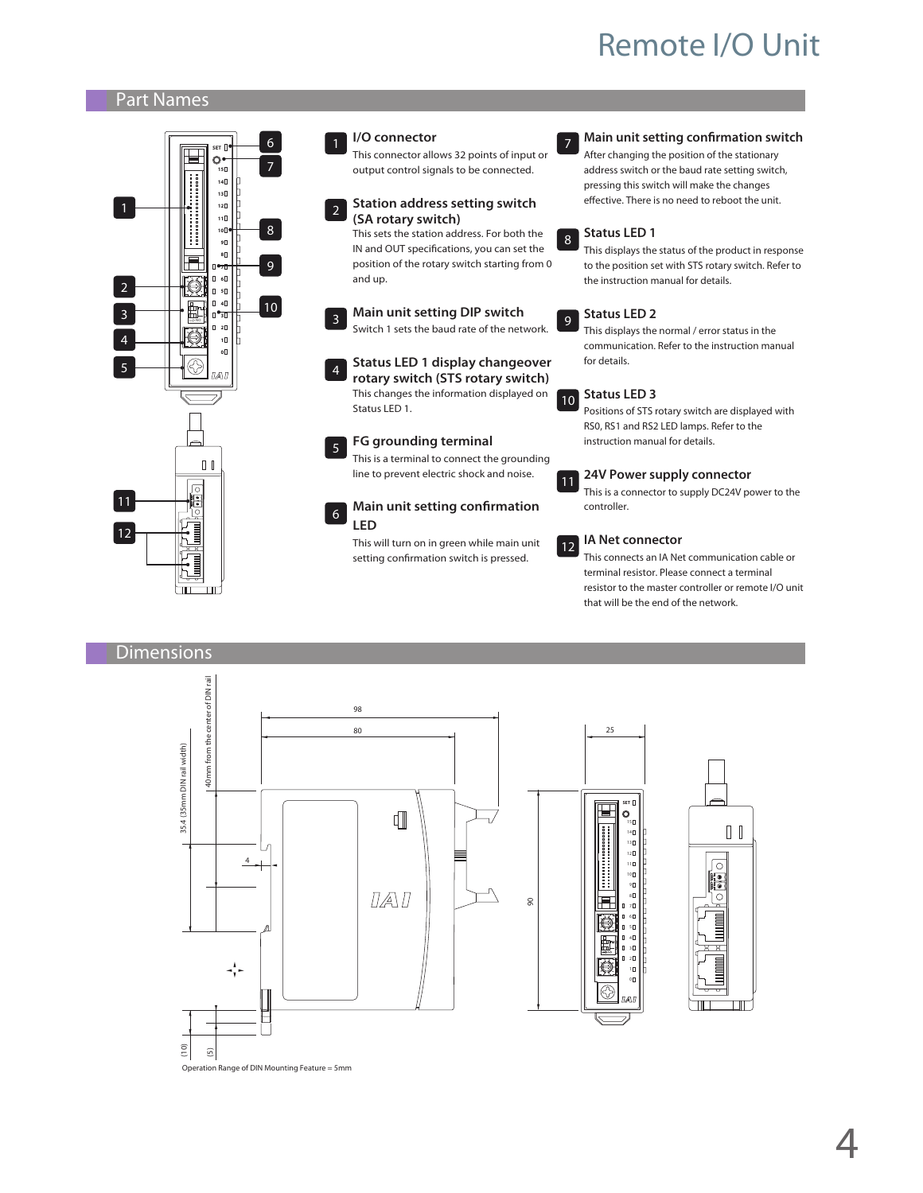#### **Model List Part Names**



**Species Commensions** 

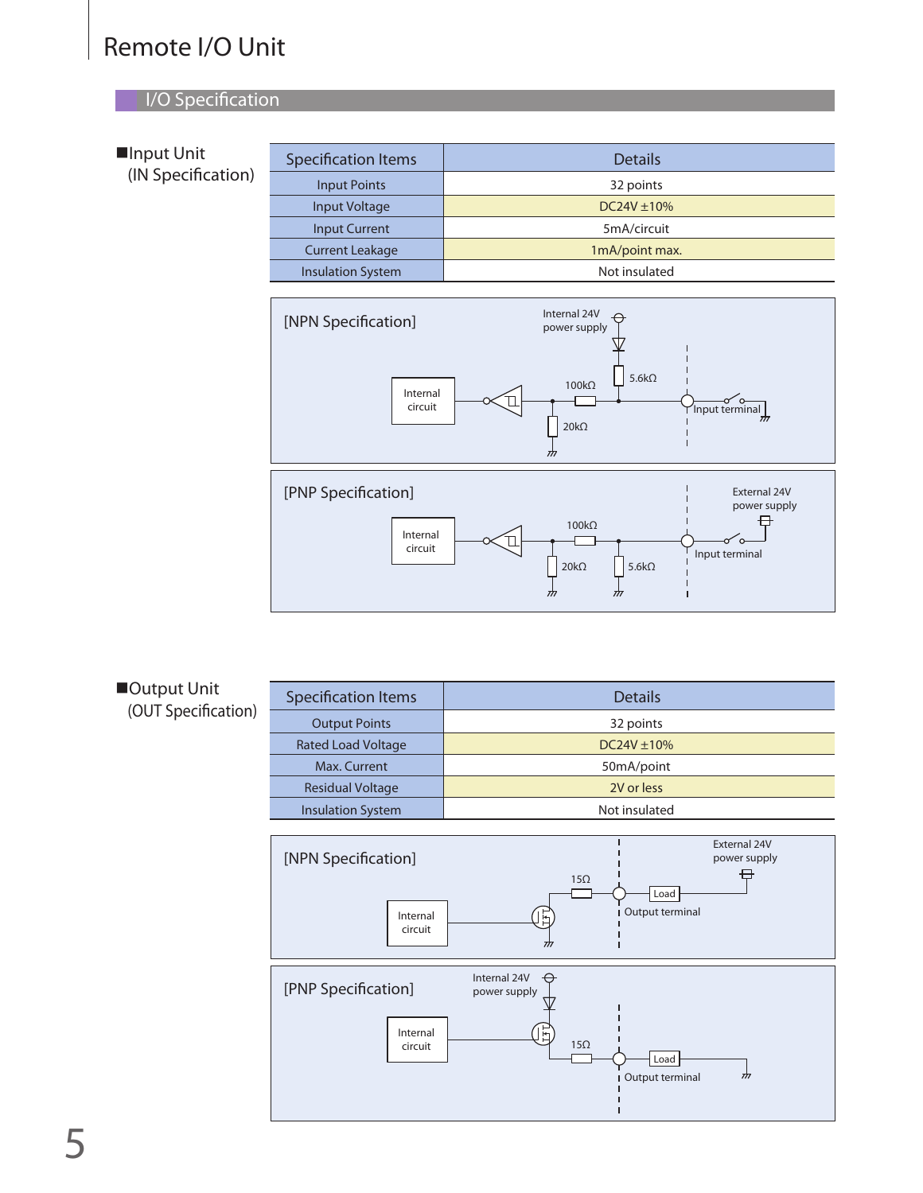#### I/O Specification Model Code Description of Code Description of Connectable Code Description of Connectable Co

| ■Input Unit<br>(IN Specification) | <b>Specification Items</b> | <b>Details</b>   |
|-----------------------------------|----------------------------|------------------|
|                                   | <b>Input Points</b>        | 32 points        |
|                                   | Input Voltage              | $DC24V \pm 10\%$ |
|                                   | <b>Input Current</b>       | 5mA/circuit      |
|                                   | <b>Current Leakage</b>     | 1mA/point max.   |
|                                   | <b>Insulation System</b>   | Not insulated    |



20kΩ

L  $\frac{1}{2}$   $5.6k\Omega$ 

 $\frac{1}{\sqrt{2}}$ 



| <b>Specification Items</b> | <b>Details</b>   |
|----------------------------|------------------|
| <b>Output Points</b>       | 32 points        |
| <b>Rated Load Voltage</b>  | $DC24V \pm 10\%$ |
| Max. Current               | 50mA/point       |
| <b>Residual Voltage</b>    | 2V or less       |
| <b>Insulation System</b>   | Not insulated    |
|                            |                  |

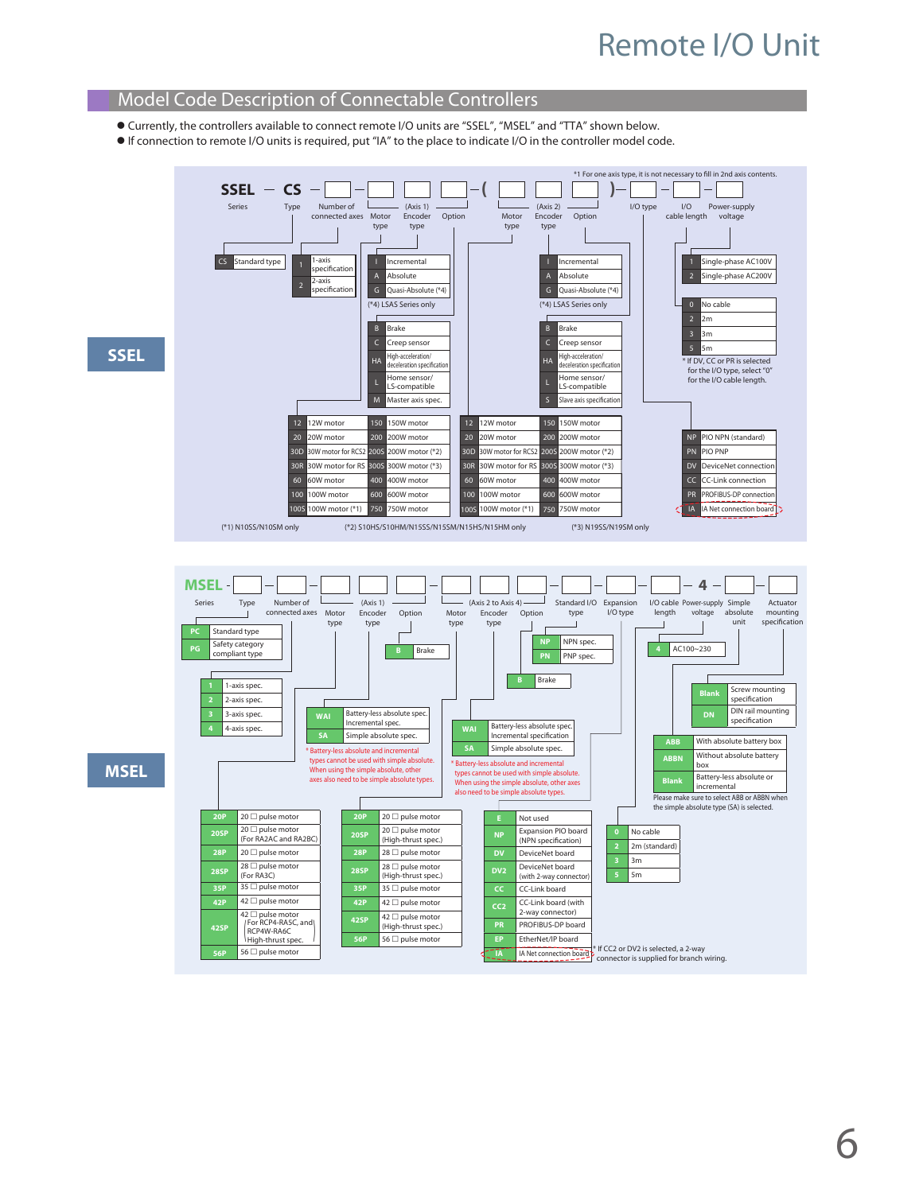#### Model Code Description of Connectable Controllers

- Currently, the controllers available to connect remote I/O units are "SSEL", "MSEL" and "TTA" shown below.
- If connection to remote I/O units is required, put "IA" to the place to indicate I/O in the controller model code.